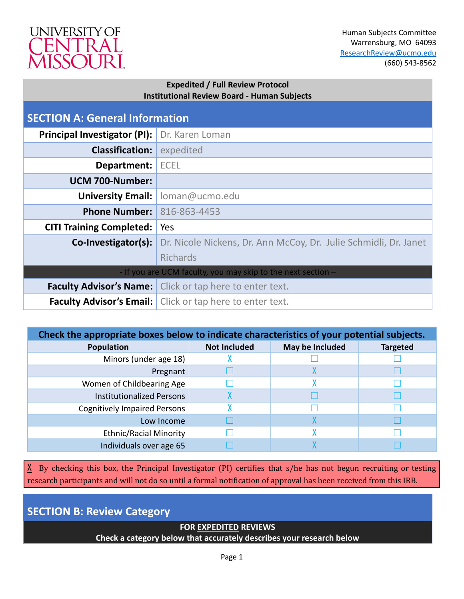

## **Expedited / Full Review Protocol Institutional Review Board - Human Subjects**

| <b>SECTION A: General Information</b> |                                                                  |
|---------------------------------------|------------------------------------------------------------------|
| <b>Principal Investigator (PI):</b>   | Dr. Karen Loman                                                  |
| <b>Classification:</b>                | expedited                                                        |
| Department:                           | <b>ECEL</b>                                                      |
| UCM 700-Number:                       |                                                                  |
| <b>University Email:</b>              | loman@ucmo.edu                                                   |
| <b>Phone Number:</b>                  | 816-863-4453                                                     |
| <b>CITI Training Completed:</b>       | Yes                                                              |
| Co-Investigator(s):                   | Dr. Nicole Nickens, Dr. Ann McCoy, Dr. Julie Schmidli, Dr. Janet |
|                                       | <b>Richards</b>                                                  |
|                                       | - If you are UCM faculty, you may skip to the next section -     |
|                                       | <b>Faculty Advisor's Name:</b> Click or tap here to enter text.  |
|                                       | <b>Faculty Advisor's Email:</b> Click or tap here to enter text. |

| Check the appropriate boxes below to indicate characteristics of your potential subjects. |                     |                 |                 |
|-------------------------------------------------------------------------------------------|---------------------|-----------------|-----------------|
| <b>Population</b>                                                                         | <b>Not Included</b> | May be Included | <b>Targeted</b> |
| Minors (under age 18)                                                                     |                     |                 |                 |
| Pregnant                                                                                  |                     |                 |                 |
| Women of Childbearing Age                                                                 |                     |                 |                 |
| <b>Institutionalized Persons</b>                                                          |                     |                 |                 |
| <b>Cognitively Impaired Persons</b>                                                       |                     |                 |                 |
| Low Income                                                                                |                     |                 |                 |
| <b>Ethnic/Racial Minority</b>                                                             |                     |                 |                 |
| Individuals over age 65                                                                   |                     |                 |                 |

 $X$  By checking this box, the Principal Investigator (PI) certifies that s/he has not begun recruiting or testing research participants and will not do so until a formal notification of approval has been received from this IRB.

**SECTION B: Review Category**

# **FOR EXPEDITED REVIEWS**

**Check a category below that accurately describes your research below**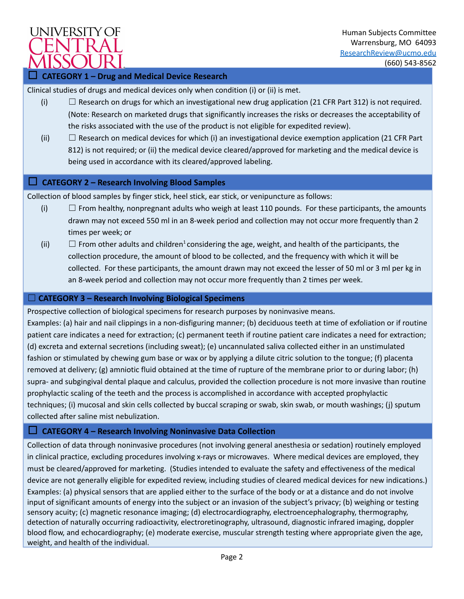

Human Subjects Committee Warrensburg, MO 64093 [ResearchReview@ucmo.edu](mailto:ResearchReview@ucmo.edu) (660) 543-8562

### ☐ **CATEGORY 1 – Drug and Medical Device Research**

Clinical studies of drugs and medical devices only when condition (i) or (ii) is met.

- (i)  $\Box$  Research on drugs for which an investigational new drug application (21 CFR Part 312) is not required. (Note: Research on marketed drugs that significantly increases the risks or decreases the acceptability of the risks associated with the use of the product is not eligible for expedited review).
- (ii)  $\Box$  Research on medical devices for which (i) an investigational device exemption application (21 CFR Part 812) is not required; or (ii) the medical device cleared/approved for marketing and the medical device is being used in accordance with its cleared/approved labeling.

#### ☐ **CATEGORY 2 – Research Involving Blood Samples**

Collection of blood samples by finger stick, heel stick, ear stick, or venipuncture as follows:

- (i)  $\Box$  From healthy, nonpregnant adults who weigh at least 110 pounds. For these participants, the amounts drawn may not exceed 550 ml in an 8-week period and collection may not occur more frequently than 2 times per week; or
- (ii)  $\Box$  From other adults and children<sup>1</sup> considering the age, weight, and health of the participants, the collection procedure, the amount of blood to be collected, and the frequency with which it will be collected. For these participants, the amount drawn may not exceed the lesser of 50 ml or 3 ml per kg in an 8-week period and collection may not occur more frequently than 2 times per week.

#### ☐ **CATEGORY 3 – Research Involving Biological Specimens**

Prospective collection of biological specimens for research purposes by noninvasive means. Examples: (a) hair and nail clippings in a non-disfiguring manner; (b) deciduous teeth at time of exfoliation or if routine patient care indicates a need for extraction; (c) permanent teeth if routine patient care indicates a need for extraction; (d) excreta and external secretions (including sweat); (e) uncannulated saliva collected either in an unstimulated fashion or stimulated by chewing gum base or wax or by applying a dilute citric solution to the tongue; (f) placenta removed at delivery; (g) amniotic fluid obtained at the time of rupture of the membrane prior to or during labor; (h) supra- and subgingival dental plaque and calculus, provided the collection procedure is not more invasive than routine prophylactic scaling of the teeth and the process is accomplished in accordance with accepted prophylactic techniques; (i) mucosal and skin cells collected by buccal scraping or swab, skin swab, or mouth washings; (j) sputum collected after saline mist nebulization.

## ☐ **CATEGORY 4 – Research Involving Noninvasive Data Collection**

Collection of data through noninvasive procedures (not involving general anesthesia or sedation) routinely employed in clinical practice, excluding procedures involving x-rays or microwaves. Where medical devices are employed, they must be cleared/approved for marketing. (Studies intended to evaluate the safety and effectiveness of the medical device are not generally eligible for expedited review, including studies of cleared medical devices for new indications.) Examples: (a) physical sensors that are applied either to the surface of the body or at a distance and do not involve input of significant amounts of energy into the subject or an invasion of the subject's privacy; (b) weighing or testing sensory acuity; (c) magnetic resonance imaging; (d) electrocardiography, electroencephalography, thermography, detection of naturally occurring radioactivity, electroretinography, ultrasound, diagnostic infrared imaging, doppler blood flow, and echocardiography; (e) moderate exercise, muscular strength testing where appropriate given the age, weight, and health of the individual.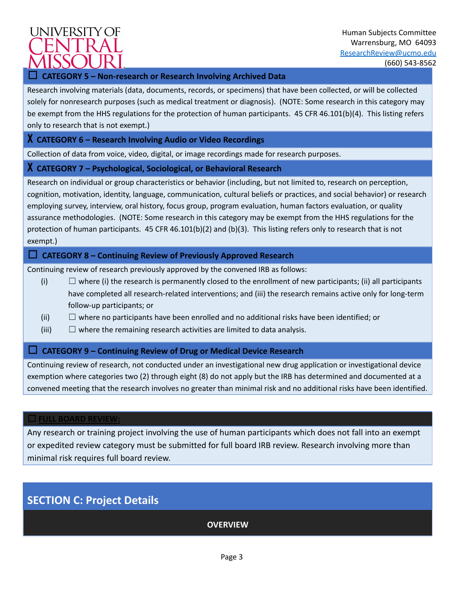# **UNIVERSITY OF**

## Human Subjects Committee Warrensburg, MO 64093 [ResearchReview@ucmo.edu](mailto:ResearchReview@ucmo.edu) (660) 543-8562

## ☐ **CATEGORY 5 – Non-research or Research Involving Archived Data**

Research involving materials (data, documents, records, or specimens) that have been collected, or will be collected solely for nonresearch purposes (such as medical treatment or diagnosis). (NOTE: Some research in this category may be exempt from the HHS regulations for the protection of human participants. 45 CFR 46.101(b)(4). This listing refers only to research that is not exempt.)

## X **CATEGORY 6 – Research Involving Audio or Video Recordings**

Collection of data from voice, video, digital, or image recordings made for research purposes.

## X **CATEGORY 7 – Psychological, Sociological, or Behavioral Research**

Research on individual or group characteristics or behavior (including, but not limited to, research on perception, cognition, motivation, identity, language, communication, cultural beliefs or practices, and social behavior) or research employing survey, interview, oral history, focus group, program evaluation, human factors evaluation, or quality assurance methodologies. (NOTE: Some research in this category may be exempt from the HHS regulations for the protection of human participants. 45 CFR 46.101(b)(2) and (b)(3). This listing refers only to research that is not exempt.)

## ☐ **CATEGORY 8 – Continuing Review of Previously Approved Research**

Continuing review of research previously approved by the convened IRB as follows:

- (i)  $\Box$  where (i) the research is permanently closed to the enrollment of new participants; (ii) all participants have completed all research-related interventions; and (iii) the research remains active only for long-term follow-up participants; or
- (ii)  $\Box$  where no participants have been enrolled and no additional risks have been identified; or
- $(iii)$   $\Box$  where the remaining research activities are limited to data analysis.

## ☐ **CATEGORY 9 – Continuing Review of Drug or Medical Device Research**

Continuing review of research, not conducted under an investigational new drug application or investigational device exemption where categories two (2) through eight (8) do not apply but the IRB has determined and documented at a convened meeting that the research involves no greater than minimal risk and no additional risks have been identified.

#### ☐ **FULL BOARD REVIEW:**

Any research or training project involving the use of human participants which does not fall into an exempt or expedited review category must be submitted for full board IRB review. Research involving more than minimal risk requires full board review.

# **SECTION C: Project Details**

**OVERVIEW**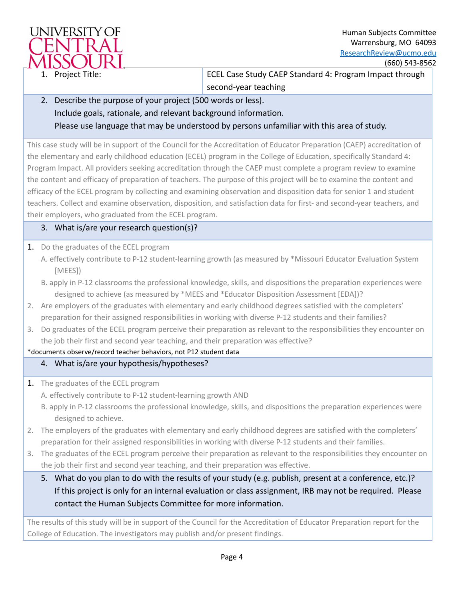

1. Project Title: ECEL Case Study CAEP Standard 4: Program Impact through second-year teaching

2. Describe the purpose of your project (500 words or less). Include goals, rationale, and relevant background information. Please use language that may be understood by persons unfamiliar with this area of study.

This case study will be in support of the Council for the Accreditation of Educator Preparation (CAEP) accreditation of the elementary and early childhood education (ECEL) program in the College of Education, specifically Standard 4: Program Impact. All providers seeking accreditation through the CAEP must complete a program review to examine the content and efficacy of preparation of teachers. The purpose of this project will be to examine the content and efficacy of the ECEL program by collecting and examining observation and disposition data for senior 1 and student teachers. Collect and examine observation, disposition, and satisfaction data for first- and second-year teachers, and their employers, who graduated from the ECEL program.

## 3. What is/are your research question(s)?

- 1. Do the graduates of the ECEL program
	- A. effectively contribute to P-12 student-learning growth (as measured by \*Missouri Educator Evaluation System [MEES])
	- B. apply in P-12 classrooms the professional knowledge, skills, and dispositions the preparation experiences were designed to achieve (as measured by \*MEES and \*Educator Disposition Assessment [EDA])?
- 2. Are employers of the graduates with elementary and early childhood degrees satisfied with the completers' preparation for their assigned responsibilities in working with diverse P-12 students and their families?
- 3. Do graduates of the ECEL program perceive their preparation as relevant to the responsibilities they encounter on the job their first and second year teaching, and their preparation was effective?

## \*documents observe/record teacher behaviors, not P12 student data

# 4. What is/are your hypothesis/hypotheses?

1. The graduates of the ECEL program

A. effectively contribute to P-12 student-learning growth AND

B. apply in P-12 classrooms the professional knowledge, skills, and dispositions the preparation experiences were designed to achieve.

- 2. The employers of the graduates with elementary and early childhood degrees are satisfied with the completers' preparation for their assigned responsibilities in working with diverse P-12 students and their families.
- 3. The graduates of the ECEL program perceive their preparation as relevant to the responsibilities they encounter on the job their first and second year teaching, and their preparation was effective.
	- 5. What do you plan to do with the results of your study (e.g. publish, present at a conference, etc.)? If this project is only for an internal evaluation or class assignment, IRB may not be required. Please contact the Human Subjects Committee for more information.

The results of this study will be in support of the Council for the Accreditation of Educator Preparation report for the College of Education. The investigators may publish and/or present findings.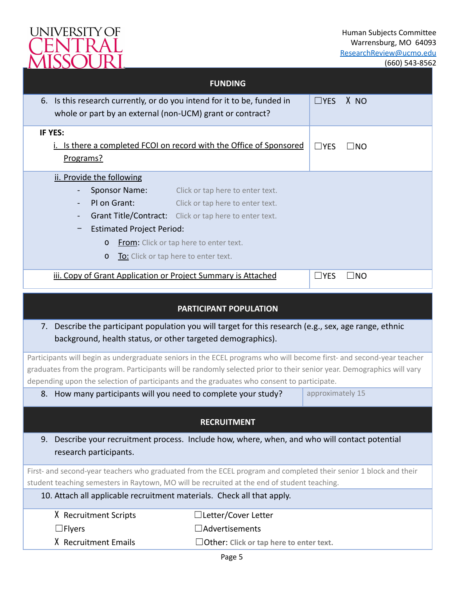

|                                                                                                                                                                                                                                                                                                                                             | <b>FUNDING</b>                                                       |                  |              |
|---------------------------------------------------------------------------------------------------------------------------------------------------------------------------------------------------------------------------------------------------------------------------------------------------------------------------------------------|----------------------------------------------------------------------|------------------|--------------|
| 6. Is this research currently, or do you intend for it to be, funded in<br>whole or part by an external (non-UCM) grant or contract?                                                                                                                                                                                                        |                                                                      | $\Box$ YES       | X NO         |
| IF YES:<br>i. Is there a completed FCOI on record with the Office of Sponsored<br>Programs?                                                                                                                                                                                                                                                 |                                                                      | $\Box$ YES       | $\Box$ No    |
| ii. Provide the following<br>Sponsor Name:<br>PI on Grant:<br>Grant Title/Contract: Click or tap here to enter text.<br><b>Estimated Project Period:</b><br><b>From:</b> Click or tap here to enter text.<br>$\mathbf 0$<br>To: Click or tap here to enter text.<br>$\Omega$                                                                | Click or tap here to enter text.<br>Click or tap here to enter text. |                  |              |
| iii. Copy of Grant Application or Project Summary is Attached                                                                                                                                                                                                                                                                               |                                                                      | $\Box$ YES       | $\square$ NO |
|                                                                                                                                                                                                                                                                                                                                             | PARTICIPANT POPULATION                                               |                  |              |
| 7. Describe the participant population you will target for this research (e.g., sex, age range, ethnic<br>background, health status, or other targeted demographics).                                                                                                                                                                       |                                                                      |                  |              |
| Participants will begin as undergraduate seniors in the ECEL programs who will become first- and second-year teacher<br>graduates from the program. Participants will be randomly selected prior to their senior year. Demographics will vary<br>depending upon the selection of participants and the graduates who consent to participate. |                                                                      |                  |              |
| How many participants will you need to complete your study?<br>8.                                                                                                                                                                                                                                                                           |                                                                      | approximately 15 |              |
|                                                                                                                                                                                                                                                                                                                                             | <b>RECRUITMENT</b>                                                   |                  |              |
| Describe your recruitment process. Include how, where, when, and who will contact potential<br>9.<br>research participants.                                                                                                                                                                                                                 |                                                                      |                  |              |
| First- and second-year teachers who graduated from the ECEL program and completed their senior 1 block and their                                                                                                                                                                                                                            |                                                                      |                  |              |
| student teaching semesters in Raytown, MO will be recruited at the end of student teaching.<br>10. Attach all applicable recruitment materials. Check all that apply.                                                                                                                                                                       |                                                                      |                  |              |
| X Recruitment Scripts                                                                                                                                                                                                                                                                                                                       | □Letter/Cover Letter                                                 |                  |              |
| $\Box$ Flyers                                                                                                                                                                                                                                                                                                                               | $\Box$ Advertisements                                                |                  |              |
| X Recruitment Emails                                                                                                                                                                                                                                                                                                                        | $\Box$ Other: Click or tap here to enter text.                       |                  |              |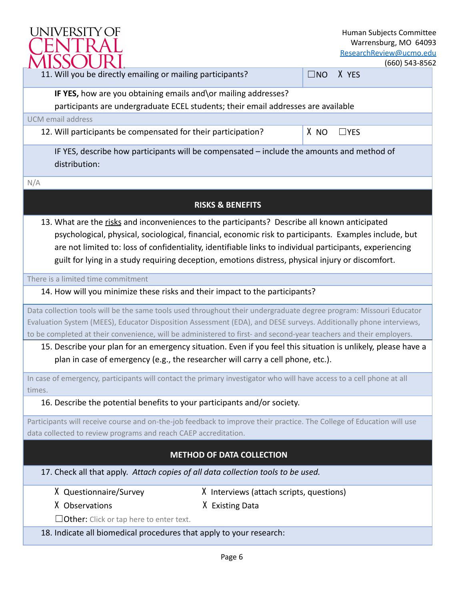

Human Subjects Committee Warrensburg, MO 64093 [ResearchReview@ucmo.edu](mailto:ResearchReview@ucmo.edu)

(660) 543-8562

| <i>IVUOJUUN.</i>                                                                                                                                                                                                                                                                                                                                                                                                         |                                          |              | <u>(</u> bbU) 543-8562 |
|--------------------------------------------------------------------------------------------------------------------------------------------------------------------------------------------------------------------------------------------------------------------------------------------------------------------------------------------------------------------------------------------------------------------------|------------------------------------------|--------------|------------------------|
| 11. Will you be directly emailing or mailing participants?                                                                                                                                                                                                                                                                                                                                                               |                                          | $\square$ NO | X YES                  |
| IF YES, how are you obtaining emails and\or mailing addresses?                                                                                                                                                                                                                                                                                                                                                           |                                          |              |                        |
| participants are undergraduate ECEL students; their email addresses are available                                                                                                                                                                                                                                                                                                                                        |                                          |              |                        |
| <b>UCM</b> email address                                                                                                                                                                                                                                                                                                                                                                                                 |                                          |              |                        |
| 12. Will participants be compensated for their participation?                                                                                                                                                                                                                                                                                                                                                            |                                          | X NO         | $\Box$ YES             |
| IF YES, describe how participants will be compensated - include the amounts and method of<br>distribution:                                                                                                                                                                                                                                                                                                               |                                          |              |                        |
| N/A                                                                                                                                                                                                                                                                                                                                                                                                                      |                                          |              |                        |
|                                                                                                                                                                                                                                                                                                                                                                                                                          | <b>RISKS &amp; BENEFITS</b>              |              |                        |
| 13. What are the risks and inconveniences to the participants? Describe all known anticipated<br>psychological, physical, sociological, financial, economic risk to participants. Examples include, but<br>are not limited to: loss of confidentiality, identifiable links to individual participants, experiencing<br>guilt for lying in a study requiring deception, emotions distress, physical injury or discomfort. |                                          |              |                        |
| There is a limited time commitment                                                                                                                                                                                                                                                                                                                                                                                       |                                          |              |                        |
| 14. How will you minimize these risks and their impact to the participants?                                                                                                                                                                                                                                                                                                                                              |                                          |              |                        |
| Data collection tools will be the same tools used throughout their undergraduate degree program: Missouri Educator                                                                                                                                                                                                                                                                                                       |                                          |              |                        |
| Evaluation System (MEES), Educator Disposition Assessment (EDA), and DESE surveys. Additionally phone interviews,                                                                                                                                                                                                                                                                                                        |                                          |              |                        |
| to be completed at their convenience, will be administered to first- and second-year teachers and their employers.                                                                                                                                                                                                                                                                                                       |                                          |              |                        |
| 15. Describe your plan for an emergency situation. Even if you feel this situation is unlikely, please have a<br>plan in case of emergency (e.g., the researcher will carry a cell phone, etc.).                                                                                                                                                                                                                         |                                          |              |                        |
| In case of emergency, participants will contact the primary investigator who will have access to a cell phone at all<br>times.                                                                                                                                                                                                                                                                                           |                                          |              |                        |
| 16. Describe the potential benefits to your participants and/or society.                                                                                                                                                                                                                                                                                                                                                 |                                          |              |                        |
| Participants will receive course and on-the-job feedback to improve their practice. The College of Education will use                                                                                                                                                                                                                                                                                                    |                                          |              |                        |
| data collected to review programs and reach CAEP accreditation.                                                                                                                                                                                                                                                                                                                                                          |                                          |              |                        |
|                                                                                                                                                                                                                                                                                                                                                                                                                          | <b>METHOD OF DATA COLLECTION</b>         |              |                        |
| 17. Check all that apply. Attach copies of all data collection tools to be used.                                                                                                                                                                                                                                                                                                                                         |                                          |              |                        |
| X Questionnaire/Survey                                                                                                                                                                                                                                                                                                                                                                                                   | X Interviews (attach scripts, questions) |              |                        |
| X Observations                                                                                                                                                                                                                                                                                                                                                                                                           | X Existing Data                          |              |                        |
| $\Box$ Other: Click or tap here to enter text.                                                                                                                                                                                                                                                                                                                                                                           |                                          |              |                        |
| 18. Indicate all biomedical procedures that apply to your research:                                                                                                                                                                                                                                                                                                                                                      |                                          |              |                        |
|                                                                                                                                                                                                                                                                                                                                                                                                                          | Page 6                                   |              |                        |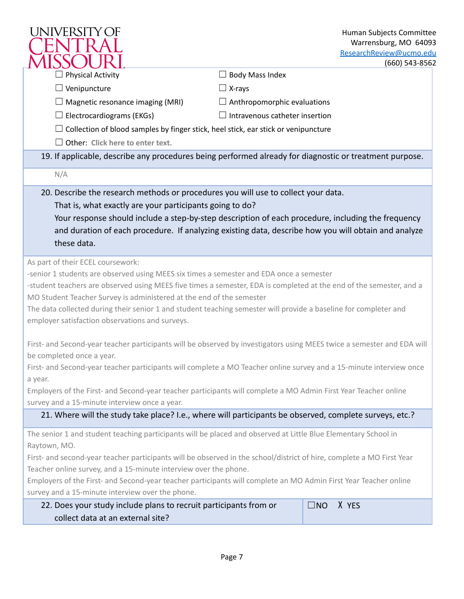| <b>UNIVERSITY OF</b>                                                                                                                                                                                                                                                                                                                                                                                                                                                                                |                                       | Human Subjects Committee<br>Warrensburg, MO 64093<br>ResearchReview@ucmo.edu<br>$(660)$ 543-8562 |
|-----------------------------------------------------------------------------------------------------------------------------------------------------------------------------------------------------------------------------------------------------------------------------------------------------------------------------------------------------------------------------------------------------------------------------------------------------------------------------------------------------|---------------------------------------|--------------------------------------------------------------------------------------------------|
| <b>Physical Activity</b>                                                                                                                                                                                                                                                                                                                                                                                                                                                                            | $\Box$ Body Mass Index                |                                                                                                  |
| $\Box$ Venipuncture                                                                                                                                                                                                                                                                                                                                                                                                                                                                                 | $\Box$ X-rays                         |                                                                                                  |
| $\Box$ Magnetic resonance imaging (MRI)                                                                                                                                                                                                                                                                                                                                                                                                                                                             | $\Box$ Anthropomorphic evaluations    |                                                                                                  |
| $\Box$ Electrocardiograms (EKGs)                                                                                                                                                                                                                                                                                                                                                                                                                                                                    | $\Box$ Intravenous catheter insertion |                                                                                                  |
| $\Box$ Collection of blood samples by finger stick, heel stick, ear stick or venipuncture                                                                                                                                                                                                                                                                                                                                                                                                           |                                       |                                                                                                  |
| $\Box$ Other: Click here to enter text.                                                                                                                                                                                                                                                                                                                                                                                                                                                             |                                       |                                                                                                  |
| 19. If applicable, describe any procedures being performed already for diagnostic or treatment purpose.                                                                                                                                                                                                                                                                                                                                                                                             |                                       |                                                                                                  |
| N/A                                                                                                                                                                                                                                                                                                                                                                                                                                                                                                 |                                       |                                                                                                  |
| 20. Describe the research methods or procedures you will use to collect your data.<br>That is, what exactly are your participants going to do?<br>Your response should include a step-by-step description of each procedure, including the frequency<br>and duration of each procedure. If analyzing existing data, describe how you will obtain and analyze<br>these data.                                                                                                                         |                                       |                                                                                                  |
| As part of their ECEL coursework:<br>-senior 1 students are observed using MEES six times a semester and EDA once a semester<br>-student teachers are observed using MEES five times a semester, EDA is completed at the end of the semester, and a<br>MO Student Teacher Survey is administered at the end of the semester<br>The data collected during their senior 1 and student teaching semester will provide a baseline for completer and<br>employer satisfaction observations and surveys.  |                                       |                                                                                                  |
| First- and Second-year teacher participants will be observed by investigators using MEES twice a semester and EDA will<br>be completed once a year.                                                                                                                                                                                                                                                                                                                                                 |                                       |                                                                                                  |
| First- and Second-year teacher participants will complete a MO Teacher online survey and a 15-minute interview once<br>a year.                                                                                                                                                                                                                                                                                                                                                                      |                                       |                                                                                                  |
| Employers of the First- and Second-year teacher participants will complete a MO Admin First Year Teacher online                                                                                                                                                                                                                                                                                                                                                                                     |                                       |                                                                                                  |
| survey and a 15-minute interview once a year.                                                                                                                                                                                                                                                                                                                                                                                                                                                       |                                       |                                                                                                  |
| 21. Where will the study take place? I.e., where will participants be observed, complete surveys, etc.?                                                                                                                                                                                                                                                                                                                                                                                             |                                       |                                                                                                  |
| The senior 1 and student teaching participants will be placed and observed at Little Blue Elementary School in<br>Raytown, MO.<br>First- and second-year teacher participants will be observed in the school/district of hire, complete a MO First Year<br>Teacher online survey, and a 15-minute interview over the phone.<br>Employers of the First- and Second-year teacher participants will complete an MO Admin First Year Teacher online<br>survey and a 15-minute interview over the phone. |                                       |                                                                                                  |
| 22. Does your study include plans to recruit participants from or                                                                                                                                                                                                                                                                                                                                                                                                                                   |                                       | X YES<br>$\square$ NO                                                                            |
| collect data at an external site?                                                                                                                                                                                                                                                                                                                                                                                                                                                                   |                                       |                                                                                                  |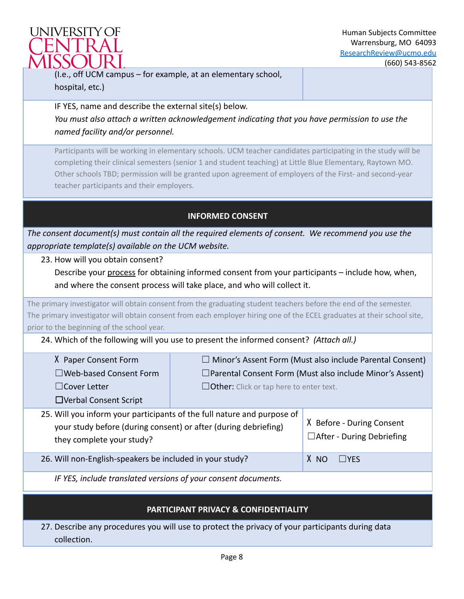

(I.e., off UCM campus – for example, at an elementary school, hospital, etc.)

IF YES, name and describe the external site(s) below. *You must also attach a written acknowledgement indicating that you have permission to use the named facility and/or personnel.*

Participants will be working in elementary schools. UCM teacher candidates participating in the study will be completing their clinical semesters (senior 1 and student teaching) at Little Blue Elementary, Raytown MO. Other schools TBD; permission will be granted upon agreement of employers of the First- and second-year teacher participants and their employers.

# **INFORMED CONSENT**

*The consent document(s) must contain all the required elements of consent. We recommend you use the appropriate template(s) available on the UCM website.*

23. How will you obtain consent?

Describe your process for obtaining informed consent from your participants - include how, when, and where the consent process will take place, and who will collect it.

The primary investigator will obtain consent from the graduating student teachers before the end of the semester. The primary investigator will obtain consent from each employer hiring one of the ECEL graduates at their school site, prior to the beginning of the school year.

24. Which of the following will you use to present the informed consent? *(Attach all.)*

| X Paper Consent Form          | $\Box$ Minor's Assent Form (Must also include Parental Consent) |
|-------------------------------|-----------------------------------------------------------------|
| $\Box$ Web-based Consent Form | $\Box$ Parental Consent Form (Must also include Minor's Assent) |
| $\Box$ Cover Letter           | $\Box$ Other: Click or tap here to enter text.                  |
| □ Verbal Consent Script       |                                                                 |

25. Will you inform your participants of the full nature and purpose of your study before (during consent) or after (during debriefing) they complete your study? X Before - During Consent ☐After - During Debriefing

26. Will non-English-speakers be included in your study? X NO ☐YES

*IF YES, include translated versions of your consent documents.*

# **PARTICIPANT PRIVACY & CONFIDENTIALITY**

27. Describe any procedures you will use to protect the privacy of your participants during data collection.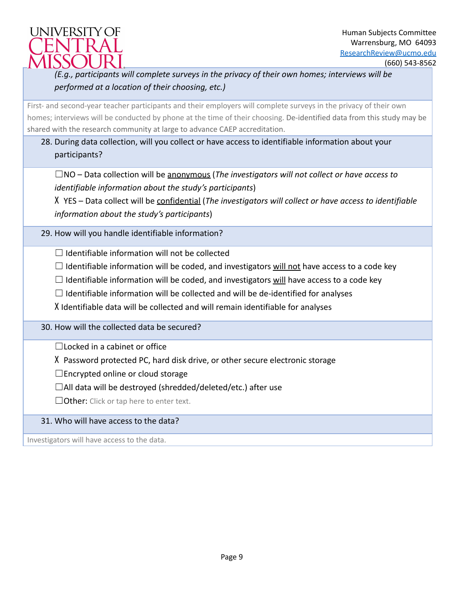

# *(E.g., participants will complete surveys in the privacy of their own homes; interviews will be performed at a location of their choosing, etc.)*

First- and second-year teacher participants and their employers will complete surveys in the privacy of their own homes; interviews will be conducted by phone at the time of their choosing. De-identified data from this study may be shared with the research community at large to advance CAEP accreditation.

# 28. During data collection, will you collect or have access to identifiable information about your participants?

☐NO – Data collection will be anonymous (*The investigators will not collect or have access to identifiable information about the study's participants*)

X YES – Data collect will be confidential (*The investigators will collect or have access to identifiable information about the study's participants*)

29. How will you handle identifiable information?

 $\Box$  Identifiable information will not be collected

 $\Box$  Identifiable information will be coded, and investigators will not have access to a code key

 $\Box$  Identifiable information will be coded, and investigators will have access to a code key

 $\Box$  Identifiable information will be collected and will be de-identified for analyses

X Identifiable data will be collected and will remain identifiable for analyses

30. How will the collected data be secured?

 $\Box$ Locked in a cabinet or office

X Password protected PC, hard disk drive, or other secure electronic storage

☐Encrypted online or cloud storage

☐All data will be destroyed (shredded/deleted/etc.) after use

 $\Box$  Other: Click or tap here to enter text.

# 31. Who will have access to the data?

Investigators will have access to the data.